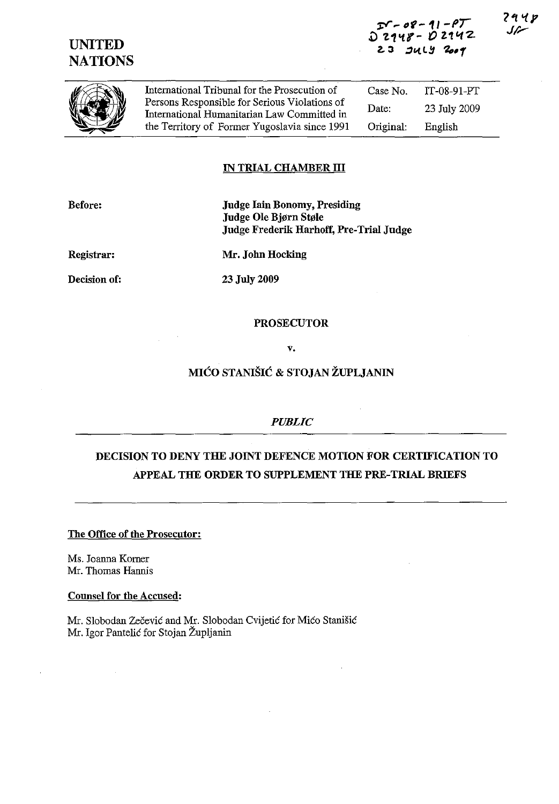



29 Y 2



#### IN TRIAL CHAMBER III

Before:

Judge lain Bonomy, Presiding Judge Ole Bjørn Støle Judge Frederik Harhoff, Pre-Trial Judge

Registrar: Mr. John Hocking

Decision of: 23 July 2009

#### PROSECUTOR

v.

# MIĆO STANIŠIĆ & STOJAN ŽUPLJANIN

### *PUBLIC*

# DECISION TO DENY THE JOINT DEFENCE MOTION FOR CERTIFICATION TO APPEAL THE ORDER TO SUPPLEMENT THE PRE-TRIAL BRIEFS

The Office of the Prosecutor:

Ms. Joanna Korner Mr. Thomas Hannis

#### Counsel for the Accused:

Mr. Slobodan Zecevic and Mr. Slobodan Cvijetic for Mico Stanisic Mr. Igor Pantelic for Stojan Zupljanin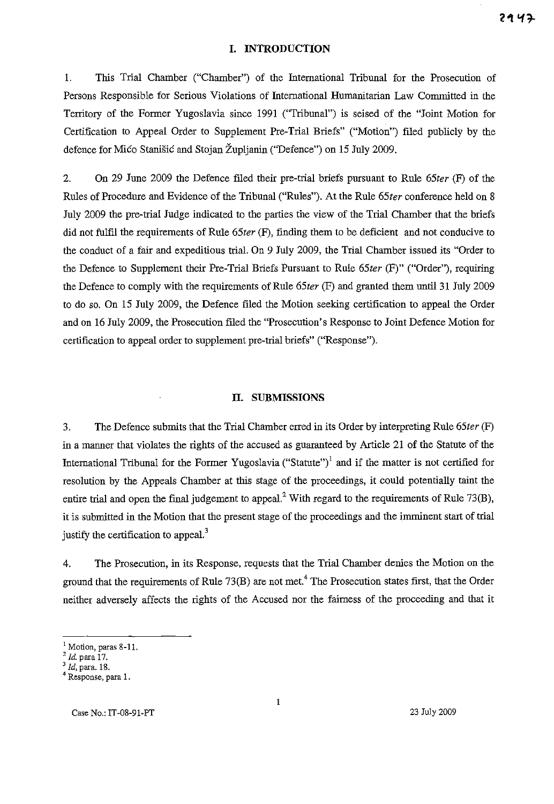## **I. INTRODUCTION**

1. This Trial Chamber ("Chamber") of the International Tribunal for the Prosecution of Persons Responsible for Serious Violations of International Humanitarian Law Committed in the Territory of the Fonner Yugoslavia since 1991 ("Tribunal") is seised of the "Joint Motion for Certification to Appeal Order to Supplement Pre-Trial Briefs" ("Motion") filed publicly by the defence for Mico Stanišic and Stojan Župljanin ("Defence") on 15 July 2009.

2. On 29 June 2009 the Defence filed their pre-trial briefs pursuant to Rule *65ter* (F) of the Rules of Procedure and Evidence of the Tribunal ("Rules"). At the Rule *65ter* conference held on 8 July 2009 the pre-trial Judge indicated to the parties the view of the Trial Chamber that the briefs did not fulfil the requirements of Rule *65ter* (F), finding them to be deficient and not conducive to the conduct of a fair and expeditious trial. On 9 July 2009, the Trial Chamber issued its "Order to the Defence to Supplement their Pre-Trial Briefs Pursuant to Rule *65ter* (F)" ("Order"), requiring the Defence to comply with the requirements of Rule *65ter* (F) and granted them until 31 July 2009 to do so. On 15 July 2009, the Defence filed the Motion seeking certification to appeal the Order and on 16 July 2009, the Prosecution filed the "Prosecution's Response to Joint Defence Motion for certification to appeal order to supplement pre-trial briefs" ("Response").

## **ll. SUBMISSIONS**

3. The Defence submits that the Trial Chamber erred in its Order by interpreting Rule *65ter* (F) in a manner that violates the rights of the accused as guaranteed by Article 21 of the Statute of the International Tribunal for the Former Yugoslavia ("Statute")<sup>1</sup> and if the matter is not certified for resolution by the Appeals Chamber at this stage of the proceedings, it could potentially taint the entire trial and open the final judgement to appeal? With regard to the requirements of Rule 73(B), it is submitted in the Motion that the present stage of the proceedings and the imminent start of trial justify the certification to appeal.<sup>3</sup>

4. The Prosecution, in its Response, requests that the Trial Chamber denies the Motion on the ground that the requirements of Rule  $73(B)$  are not met.<sup>4</sup> The Prosecution states first, that the Order neither adversely affects the rights of the Accused nor the fairness of the proceeding and that it

**<sup>I</sup>Motion, paras 8-11.** 

*<sup>2</sup>Id.* para 17.

<sup>&</sup>lt;sup>3</sup> *Id*, para. 18.

**<sup>4</sup> Response, para 1.**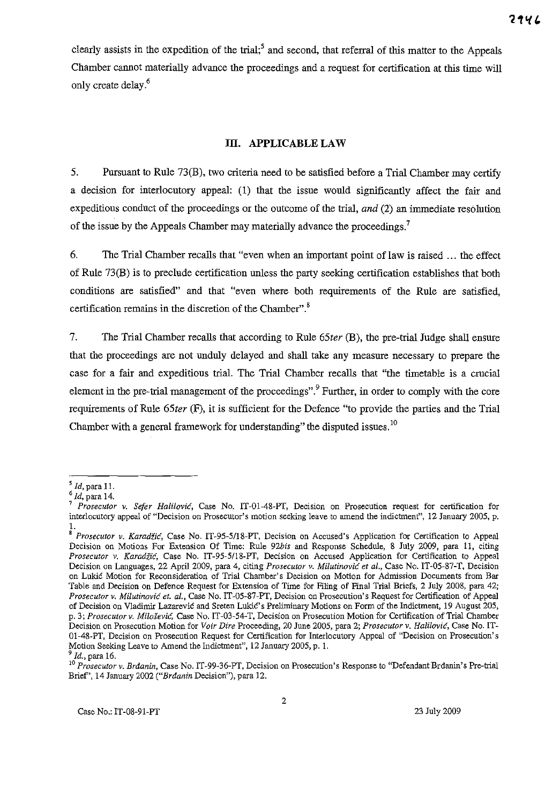clearly assists in the expedition of the trial;<sup>5</sup> and second, that referral of this matter to the Appeals Chamber cannot materially advance the proceedings and a request for certification at this time will only create delay.6

# **Ill. APPLICABLE** LAW

5. Pursuant to Rule 73(B), two criteria need to be satisfied before a Trial Chamber may certify a decision for interlocutory appeal: (I) that the issue would significantly affect the fair and expeditious conduct of the proceedings or the outcome of the trial, *and* (2) an immediate resolution of the issue by the Appeals Chamber may materially advance the proceedings.<sup>7</sup>

6. The Trial Chamber recalls that "even when an important point of law is raised ... the effect of Rule 73(B) is to preclude certification unless the party seeking certification establishes that both conditions are satisfied" and that "even where both requirements of the Rule are satisfied, certification remains in the discretion of the Chamber".<sup>8</sup>

7. The Trial Chamber recalls that according to Rule *65ter* (B), the pre-trial Judge shall ensure that the proceedings are not unduly delayed and shall take any measure necessary to prepare the case for a fair and expeditious trial. The Trial Chamber recalls that "the timetable is a crucial element in the pre-trial management of the proceedings".<sup>9</sup> Further, in order to comply with the core requirements of Rule *65ter* (F), it is sufficient for the Defence "to provide the parties and the Trial Chamber with a general framework for understanding" the disputed issues.<sup>10</sup>

*<sup>,</sup> Id,* para II.

*<sup>6</sup> Id,* para 14.

**<sup>7</sup>***Prosecutor v. Seier Halilovic,* **Case No. IT-Ol-48-PT, Decision on Prosecution request for certification for interlocutory appeal of "Decision on Prosecutor's motion seeking leave to amend the indictment", 12 January 2005, p.**  I.

**<sup>8</sup>** *Prosecutor v.* **Karadtic, Case No. IT-95-5/18-PT, Decision on Accused's Application for Certification to Appeal**  Decision on Motions For Extension Of Time: Rule *92bis* and Response Schedule, 8 July 2009, para 11, citing *Prosecutor* **v.** *Karadiic,* **Case No. IT-95-S/18-PT, Decision on Accused Application for Certification to Appeal**  Decision on Languages, 22 April 2009, para 4, citing *Prosecutor* v. *Milutinovic et al.,* Case No. IT-05-87-T, Decision **on Lukic Motion for Reconsideration of Trial Chamber's Decision on Motion for Admission Documents from Bar**  Table and Decision on Defence Request for Extension of Time for Filing of Final Trial Briefs, 2 July 2008, para 42; *Prosecutor v. Milutinovic et. aI.,* **Case No. IT-05-87-PT, Decision on Prosecution's Request for Certification of Appeal of Decision on Vladimir Lazarevic and Sreten Lukic's Preliminary Motions on Form of the Indictment, 19 August 205, p. 3;** *Prosecutor v. Milosevi6,* **Case No. IT -03-54-T, Decision on Prosecution Motion for Certification of Trial Chamber Decision on Prosecution Motion for** *Voir Dire* **Proceeding, 20 June 2005, para 2;** *Prosecutor v. Halilovic,* **Case No. IT-01-48-PT, Decision on Prosecution Request for Certification for Interlocutory Appeal of "Decision on Prosecution's**  Motion Seeking Leave to Amend the Indictment", 12 January 2005, p. 1.

*<sup>9</sup> Id.,* para 16.

**<sup>10</sup>***Prosecutor v. Brdanin,* **Case No. IT-99-36-PT, Decision on Prosecution's Response to "Defendant Brdanin's Pre-trial**  Brief', 14 January 2002 *("Brdanin* Decision"), para 12.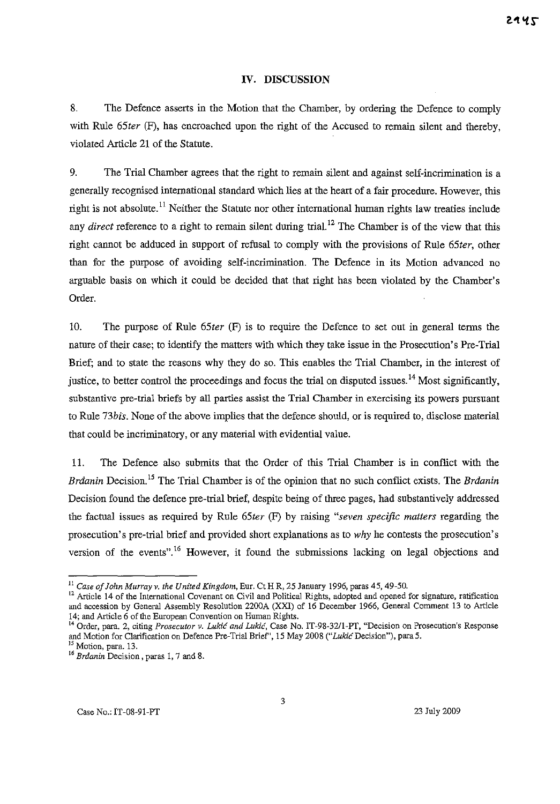## **IV. DISCUSSION**

8. The Defence asserts in the Motion that the Chamber, by ordering the Defence to comply with Rule *65ter* (F), has encroached upon the right of the Accused to remain silent and thereby, violated Article 21 of the Statute.

9. The Trial Chamber agrees that the right to remain silent and against self-incrimination is a generally recognised international standard which lies at the heart of a fair procedure. However, this right is not absolute.<sup>11</sup> Neither the Statute nor other international human rights law treaties include any *direct* reference to a right to remain silent during trial.<sup>12</sup> The Chamber is of the view that this right cannot be adduced in support of refusal to comply with the provisions of Rule *65ter,* other than for the purpose of avoiding self-incrimination. The Defence in its Motion advanced no arguable basis on which it could be decided that that right has been violated by the Chamber's Order.

10. The purpose of Rule *65ter* (F) is to require the Defence to set out in general terms the nature of their case; to identify the matters with which they take issue in the Prosecution's Pre-Trial Brief; and to state the reasons why they do so. This enables the Trial Chamber, in the interest of justice, to better control the proceedings and focus the trial on disputed issues.<sup>14</sup> Most significantly, substantive pre-trial briefs by all parties assist the Trial Chamber in exercising its powers pursuant to Rule *73bis.* None of the above implies that the defence should, or is required to, disclose material that could be incriminatory, or any material with evidential value.

11. The Defence also submits that the Order of this Trial Chamber is in conflict with the *Brdanin* Decision.<sup>15</sup> The Trial Chamber is of the opinion that no such conflict exists. The *Brdanin* Decision found the defence pre-trial brief, despite being of three pages, had substantively addressed the factual issues as required by Rule *65ter* (F) by raising *"seven specific matters* regarding the prosecution's pre-trial brief and provided short explanations as to why he contests the prosecution's version of the events".<sup>16</sup> However, it found the submissions lacking on legal objections and

<sup>&</sup>lt;sup>11</sup> Case of John Murray v. the United Kingdom, Eur. Ct H R, 25 January 1996, paras 45, 49-50.

<sup>&</sup>lt;sup>12</sup> Article 14 of the International Covenant on Civil and Political Rights, adopted and opened for signature, ratification and accession by General Assembly Resolution 2200A (XXI) of 16 December 1966, General Comment 13 to Article 14; and Article 6 of the European Convention on Human Rights.

**<sup>14</sup> Order, para. 2, citing** *Prosecutor v.* **Lukic** *and* **Lukic, Case No. IT-98-32/1-PT, "Decision On Prosecution's Response**  and Motion for Clarification on Defence Pre-Trial Brief", 15 May 2008 ("Lukic Decision"), para 5.

**<sup>15</sup> Motion, para. 13.** 

**<sup>16</sup>***Brdanin* **Decision, paras 1,7 and 8.**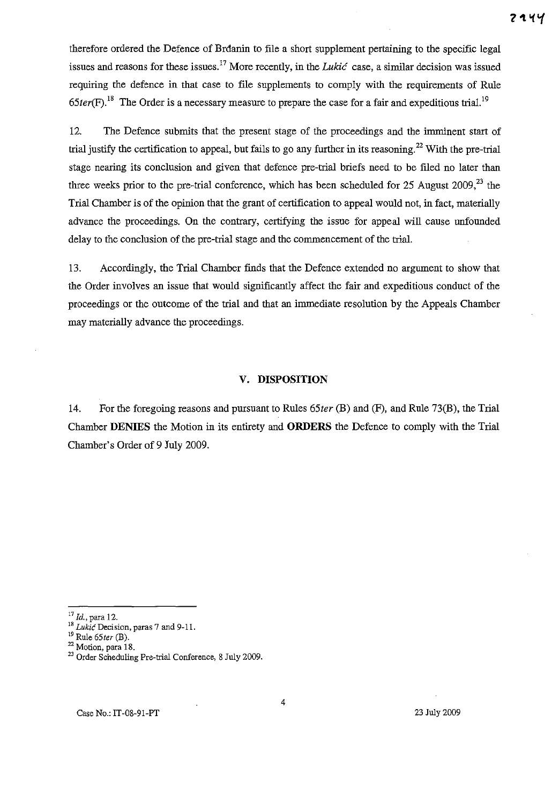therefore ordered the Defence of Brdanin to file a short supplement pertaining to the specific legal issues and reasons for these issues.<sup>17</sup> More recently, in the *Lukic* case, a similar decision was issued requiring the defence in that case to file supplements to comply with the requirements of Rule *65ter(F).18* The Order is a necessary measure to prepare the case for a fair and expeditious trial. <sup>19</sup>

12. The Defence submits that the present stage of the proceedings and the imminent start of trial justify the certification to appeal, but fails to go any further in its reasoning.<sup>22</sup> With the pre-trial stage nearing its conclusion and given that defence pre-trial briefs need to be filed no later than three weeks prior to the pre-trial conference, which has been scheduled for 25 August 2009, $^{23}$  the Trial Chamber is of the opinion that the grant of certification to appeal would not, in fact, materially advance the proceedings. On the contrary, certifying the issue for appeal will cause unfounded delay to the conclusion of the pre-trial stage and the commencement of the trial.

13. Accordingly, the Trial Chamber finds that the Defence extended no argument to show that the Order involves an issue that would significantly affect the fair and expeditious conduct of the proceedings or the outcome of the trial and that an immediate resolution by the Appeals Chamber may materially advance the proceedings.

#### V. **DISPOSITION**

14. For the foregoing reasons and pursuant to Rules *65ter* (B) and (F), and Rule 73(B), the Trial Chamber **DENIES** the Motion in its entirety and **ORDERS** the Defence to comply with the Trial Chamber's Order of 9 July 2009.

 $17$  *Id.*, para 12.

*<sup>18</sup> Lukic* **Decision, paras 7 and 9-11.** 

<sup>19</sup> Rule *65ter* (B).

**<sup>22</sup> Motion, para 18.** 

<sup>&</sup>lt;sup>23</sup> Order Scheduling Pre-trial Conference, 8 July 2009.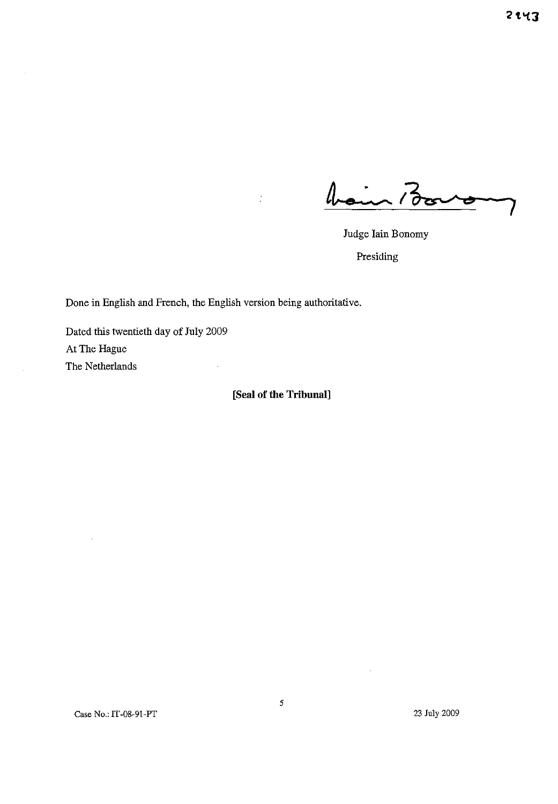hai  $\phi$ 

Judge lain Bonomy Presiding

Done in English and French, the English version being authoritative.

Dated this twentieth day of July 2009 At The Hague The Netherlands

# **[Seal of the Tribunal]**

 $\overline{\phantom{a}}$